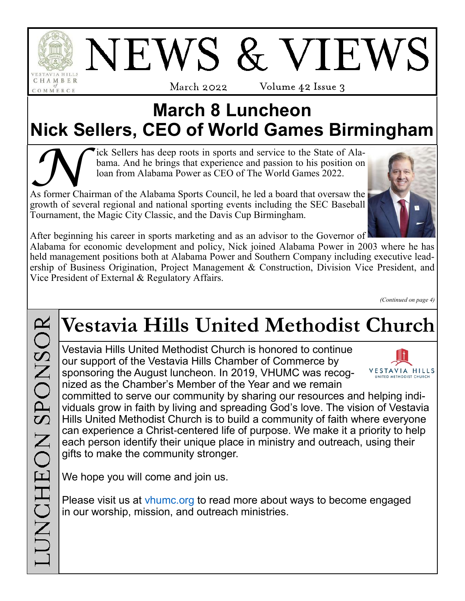

## NEWS & VIEWS March 2022-Volume 42 Issue 3

## **March 8 Luncheon Nick Sellers, CEO of World Games Birmingham**

Tick Sellers has deep roots in sports and service to the State of Alabama. And he brings that experience and passion to his position on loan from Alabama Power as CEO of The World Games 2022.<br>As former Chairman of the Alab ick Sellers has deep roots in sports and service to the State of Alabama. And he brings that experience and passion to his position on loan from Alabama Power as CEO of The World Games 2022.

growth of several regional and national sporting events including the SEC Baseball Tournament, the Magic City Classic, and the Davis Cup Birmingham.



After beginning his career in sports marketing and as an advisor to the Governor of

Alabama for economic development and policy, Nick joined Alabama Power in 2003 where he has held management positions both at Alabama Power and Southern Company including executive leadership of Business Origination, Project Management & Construction, Division Vice President, and Vice President of External & Regulatory Affairs.

*(Continued on page 4)*

## **Vestavia Hills United Methodist Church**

Vestavia Hills United Methodist Church is honored to continue our support of the Vestavia Hills Chamber of Commerce by sponsoring the August luncheon. In 2019, VHUMC was recognized as the Chamber's Member of the Year and we remain



committed to serve our community by sharing our resources and helping individuals grow in faith by living and spreading God's love. The vision of Vestavia Hills United Methodist Church is to build a community of faith where everyone can experience a Christ-centered life of purpose. We make it a priority to help each person identify their unique place in ministry and outreach, using their gifts to make the community stronger.

We hope you will come and join us.

Please visit us at [vhumc.org](http://www.vhumc.org/) to read more about ways to become engaged in our worship, mission, and outreach ministries.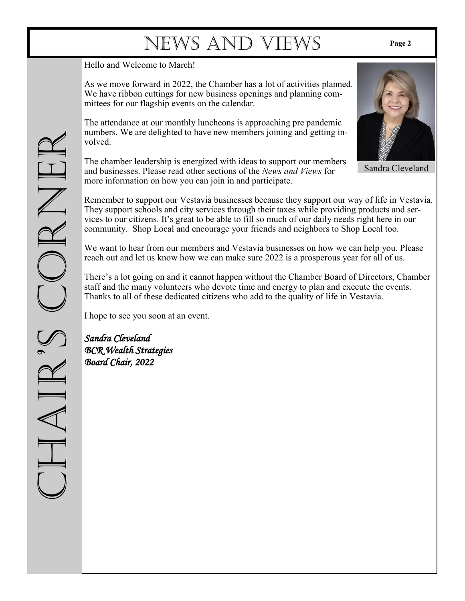Hello and Welcome to March!

As we move forward in 2022, the Chamber has a lot of activities planned. We have ribbon cuttings for new business openings and planning committees for our flagship events on the calendar.

The attendance at our monthly luncheons is approaching pre pandemic numbers. We are delighted to have new members joining and getting involved.

The chamber leadership is energized with ideas to support our members and businesses. Please read other sections of the *News and Views* for more information on how you can join in and participate.

Remember to support our Vestavia businesses because they support our way of life in Vestavia. They support schools and city services through their taxes while providing products and services to our citizens. It's great to be able to fill so much of our daily needs right here in our community. Shop Local and encourage your friends and neighbors to Shop Local too.

We want to hear from our members and Vestavia businesses on how we can help you. Please reach out and let us know how we can make sure 2022 is a prosperous year for all of us.

There's a lot going on and it cannot happen without the Chamber Board of Directors, Chamber staff and the many volunteers who devote time and energy to plan and execute the events. Thanks to all of these dedicated citizens who add to the quality of life in Vestavia.

I hope to see you soon at an event.

*Sandra Cleveland BCR Wealth Strategies Board Chair, 2022* 





Sandra Cleveland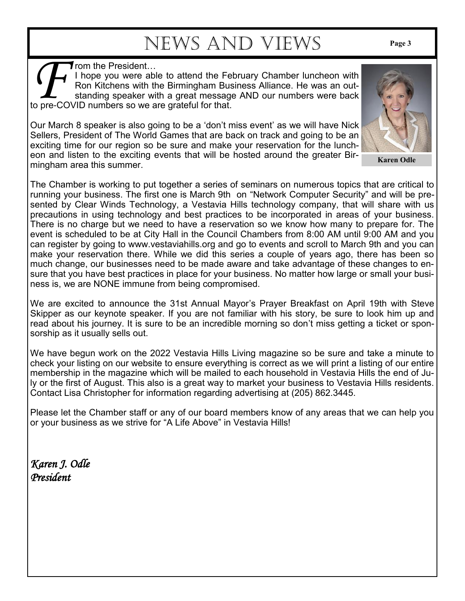**f** rom the President…

**FR FR FR FR FR FR FRA FRA FRA FRA FRA FRA FRA FRA FRA FRA FRA FRA FRA FRA FRA FRA FRA FRA FRA FRA FRA FRA FRA FRA FRA FRA FRA FRA FRA FRA FRA FRA** I hope you were able to attend the February Chamber luncheon with Ron Kitchens with the Birmingham Business Alliance. He was an outstanding speaker with a great message AND our numbers were back

Our March 8 speaker is also going to be a 'don't miss event' as we will have Nick Sellers, President of The World Games that are back on track and going to be an exciting time for our region so be sure and make your reservation for the luncheon and listen to the exciting events that will be hosted around the greater Birmingham area this summer.

The Chamber is working to put together a series of seminars on numerous topics that are critical to running your business. The first one is March 9th on "Network Computer Security" and will be presented by Clear Winds Technology, a Vestavia Hills technology company, that will share with us precautions in using technology and best practices to be incorporated in areas of your business. There is no charge but we need to have a reservation so we know how many to prepare for. The event is scheduled to be at City Hall in the Council Chambers from 8:00 AM until 9:00 AM and you can register by going to www.vestaviahills.org and go to events and scroll to March 9th and you can make your reservation there. While we did this series a couple of years ago, there has been so much change, our businesses need to be made aware and take advantage of these changes to ensure that you have best practices in place for your business. No matter how large or small your business is, we are NONE immune from being compromised.

We are excited to announce the 31st Annual Mayor's Prayer Breakfast on April 19th with Steve Skipper as our keynote speaker. If you are not familiar with his story, be sure to look him up and read about his journey. It is sure to be an incredible morning so don't miss getting a ticket or sponsorship as it usually sells out.

We have begun work on the 2022 Vestavia Hills Living magazine so be sure and take a minute to check your listing on our website to ensure everything is correct as we will print a listing of our entire membership in the magazine which will be mailed to each household in Vestavia Hills the end of July or the first of August. This also is a great way to market your business to Vestavia Hills residents. Contact Lisa Christopher for information regarding advertising at (205) 862.3445.

Please let the Chamber staff or any of our board members know of any areas that we can help you or your business as we strive for "A Life Above" in Vestavia Hills!

*Karen J. Odle President*

**Karen Odle**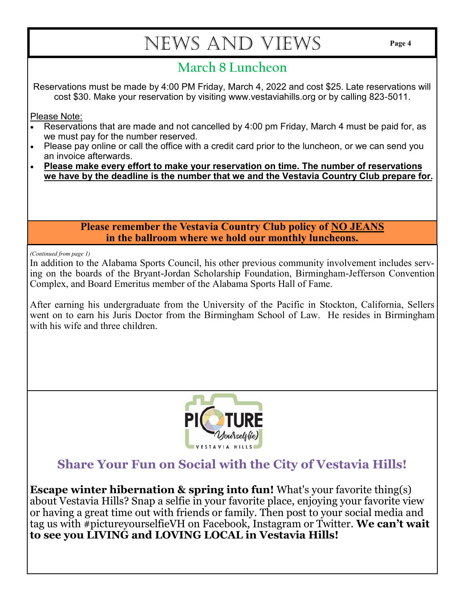#### **March 8 Luncheon**

Reservations must be made by 4:00 PM Friday, March 4, 2022 and cost \$25. Late reservations will cost \$30. Make your reservation by visiting www.vestaviahills.org or by calling 823-5011.

Please Note:

- Reservations that are made and not cancelled by 4:00 pm Friday, March 4 must be paid for, as we must pay for the number reserved.
- Please pay online or call the office with a credit card prior to the luncheon, or we can send you an invoice afterwards.
- **Please make every effort to make your reservation on time. The number of reservations we have by the deadline is the number that we and the Vestavia Country Club prepare for.**

**Please remember the Vestavia Country Club policy of NO JEANS in the ballroom where we hold our monthly luncheons.**

*(Continued from page 1)*

In addition to the Alabama Sports Council, his other previous community involvement includes serving on the boards of the Bryant-Jordan Scholarship Foundation, Birmingham-Jefferson Convention Complex, and Board Emeritus member of the Alabama Sports Hall of Fame.

After earning his undergraduate from the University of the Pacific in Stockton, California, Sellers went on to earn his Juris Doctor from the Birmingham School of Law. He resides in Birmingham with his wife and three children.



#### **Share Your Fun on Social with the City of Vestavia Hills!**

**Escape winter hibernation & spring into fun!** What's your favorite thing(s) about Vestavia Hills? Snap a selfie in your favorite place, enjoying your favorite view or having a great time out with friends or family. Then post to your social media and tag us with #pictureyourselfieVH on Facebook, Instagram or Twitter. **We can't wait to see you LIVING and LOVING LOCAL in Vestavia Hills!**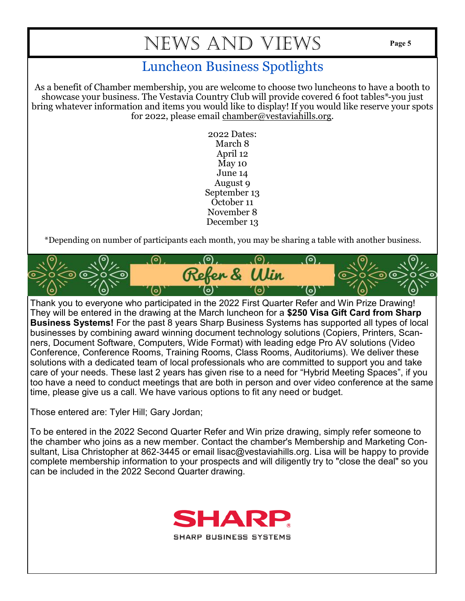#### Luncheon Business Spotlights

As a benefit of Chamber membership, you are welcome to choose two luncheons to have a booth to showcase your business. The Vestavia Country Club will provide covered 6 foot tables\*-you just bring whatever information and items you would like to display! If you would like reserve your spots for 2022, please email [chamber@vestaviahills.org.](mailto:chamber@vestaviahills.org)

> 2022 Dates: March 8 April 12 May 10 June 14 August 9 September 13 October 11 November 8 December 13

\*Depending on number of participants each month, you may be sharing a table with another business.



Thank you to everyone who participated in the 2022 First Quarter Refer and Win Prize Drawing! They will be entered in the drawing at the March luncheon for a **\$250 Visa Gift Card from Sharp Business Systems!** For the past 8 years Sharp Business Systems has supported all types of local businesses by combining award winning document technology solutions (Copiers, Printers, Scanners, Document Software, Computers, Wide Format) with leading edge Pro AV solutions (Video Conference, Conference Rooms, Training Rooms, Class Rooms, Auditoriums). We deliver these solutions with a dedicated team of local professionals who are committed to support you and take care of your needs. These last 2 years has given rise to a need for "Hybrid Meeting Spaces", if you too have a need to conduct meetings that are both in person and over video conference at the same time, please give us a call. We have various options to fit any need or budget.

Those entered are: Tyler Hill; Gary Jordan;

To be entered in the 2022 Second Quarter Refer and Win prize drawing, simply refer someone to the chamber who joins as a new member. Contact the chamber's Membership and Marketing Consultant, Lisa Christopher at 862-3445 or email lisac@vestaviahills.org. Lisa will be happy to provide complete membership information to your prospects and will diligently try to "close the deal" so you can be included in the 2022 Second Quarter drawing.

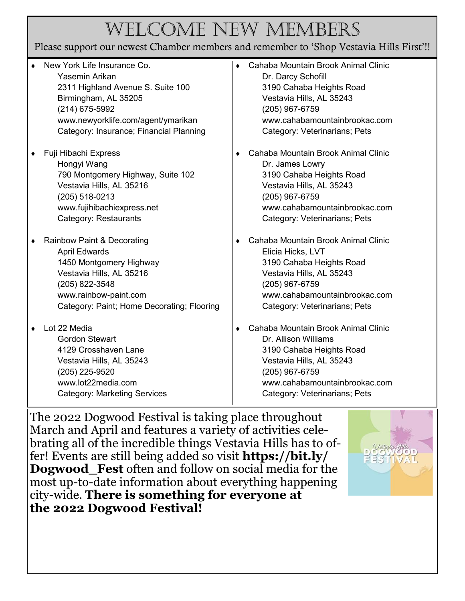## Welcome New Members

#### Please support our newest Chamber members and remember to 'Shop Vestavia Hills First'!!

| ٠ | New York Life Insurance Co.<br>Yasemin Arikan<br>2311 Highland Avenue S. Suite 100<br>Birmingham, AL 35205<br>(214) 675-5992<br>www.newyorklife.com/agent/ymarikan<br>Category: Insurance; Financial Planning | ٠ | Cahaba Mountain Brook Animal Clinic<br>Dr. Darcy Schofill<br>3190 Cahaba Heights Road<br>Vestavia Hills, AL 35243<br>(205) 967-6759<br>www.cahabamountainbrookac.com<br>Category: Veterinarians; Pets   |
|---|---------------------------------------------------------------------------------------------------------------------------------------------------------------------------------------------------------------|---|---------------------------------------------------------------------------------------------------------------------------------------------------------------------------------------------------------|
| ٠ | Fuji Hibachi Express<br>Hongyi Wang<br>790 Montgomery Highway, Suite 102<br>Vestavia Hills, AL 35216<br>(205) 518-0213<br>www.fujihibachiexpress.net<br>Category: Restaurants                                 | ٠ | Cahaba Mountain Brook Animal Clinic<br>Dr. James Lowry<br>3190 Cahaba Heights Road<br>Vestavia Hills, AL 35243<br>(205) 967-6759<br>www.cahabamountainbrookac.com<br>Category: Veterinarians; Pets      |
| ٠ | <b>Rainbow Paint &amp; Decorating</b><br><b>April Edwards</b><br>1450 Montgomery Highway<br>Vestavia Hills, AL 35216<br>(205) 822-3548<br>www.rainbow-paint.com<br>Category: Paint; Home Decorating; Flooring | ٠ | Cahaba Mountain Brook Animal Clinic<br>Elicia Hicks, LVT<br>3190 Cahaba Heights Road<br>Vestavia Hills, AL 35243<br>(205) 967-6759<br>www.cahabamountainbrookac.com<br>Category: Veterinarians; Pets    |
|   | Lot 22 Media<br><b>Gordon Stewart</b><br>4129 Crosshaven Lane<br>Vestavia Hills, AL 35243<br>(205) 225-9520<br>www.lot22media.com<br><b>Category: Marketing Services</b>                                      | ٠ | Cahaba Mountain Brook Animal Clinic<br>Dr. Allison Williams<br>3190 Cahaba Heights Road<br>Vestavia Hills, AL 35243<br>(205) 967-6759<br>www.cahabamountainbrookac.com<br>Category: Veterinarians; Pets |

The 2022 Dogwood Festival is taking place throughout March and April and features a variety of activities celebrating all of the incredible things Vestavia Hills has to offer! Events are still being added so visit **[https://bit.ly/](https://r20.rs6.net/tn.jsp?f=001fFDNP_7QX_AyLIpBxMktEyVxpwiXNrn041_vsD8Maae0BcVT1mhFdQATc7w35dHyxMyssAIL0L1_EnlY3kq_4qBszLWqjnMZf4t0PFjEAOljE9OzyR-q0ey8nCAVVqlp8mttgsbmnnp_Nsa09xB5Qw==&c=D7Bwb3INl0xfGynyiozdWCIzDCf1FvgNx10kWpCDdZF9lR0Wx56wzw==&ch=gSjPpCmhGrHw) Dogwood** Fest often and follow on social media for the most up-to-date information about everything happening city-wide. **There is something for everyone at the 2022 Dogwood Festival!**

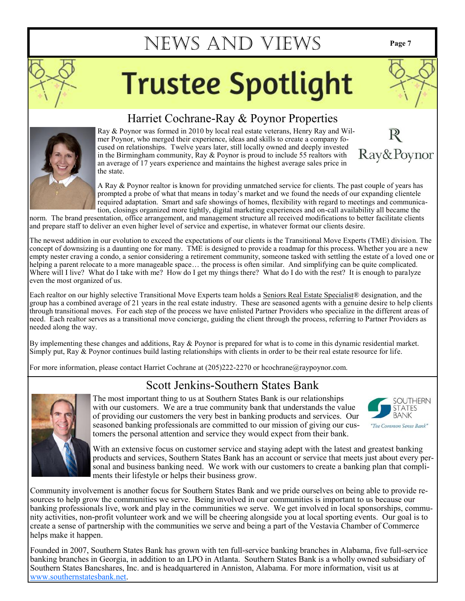# **Trustee Spotlight**



#### Harriet Cochrane-Ray & Poynor Properties

Ray & Poynor was formed in 2010 by local real estate veterans, Henry Ray and Wilmer Poynor, who merged their experience, ideas and skills to create a company focused on relationships. Twelve years later, still locally owned and deeply invested in the Birmingham community, Ray & Poynor is proud to include 55 realtors with an average of 17 years experience and maintains the highest average sales price in the state.

A Ray & Poynor realtor is known for providing unmatched service for clients. The past couple of years has prompted a probe of what that means in today's market and we found the needs of our expanding clientele required adaptation. Smart and safe showings of homes, flexibility with regard to meetings and communication, closings organized more tightly, digital marketing experiences and on-call availability all became the

norm. The brand presentation, office arrangement, and management structure all received modifications to better facilitate clients and prepare staff to deliver an even higher level of service and expertise, in whatever format our clients desire.

The newest addition in our evolution to exceed the expectations of our clients is the Transitional Move Experts (TME) division. The concept of downsizing is a daunting one for many. TME is designed to provide a roadmap for this process. Whether you are a new empty nester craving a condo, a senior considering a retirement community, someone tasked with settling the estate of a loved one or helping a parent relocate to a more manageable space... the process is often similar. And simplifying can be quite complicated. Where will I live? What do I take with me? How do I get my things there? What do I do with the rest? It is enough to paralyze even the most organized of us.

Each realtor on our highly selective Transitional Move Experts team holds a Seniors Real Estate Specialist® designation, and the group has a combined average of 21 years in the real estate industry. These are seasoned agents with a genuine desire to help clients through transitional moves. For each step of the process we have enlisted Partner Providers who specialize in the different areas of need. Each realtor serves as a transitional move concierge, guiding the client through the process, referring to Partner Providers as needed along the way.

By implementing these changes and additions, Ray & Poynor is prepared for what is to come in this dynamic residential market. Simply put, Ray & Poynor continues build lasting relationships with clients in order to be their real estate resource for life.

For more information, please contact Harriet Cochrane at (205)222-2270 or hcochrane@raypoynor.com.

### Scott Jenkins-Southern States Bank

The most important thing to us at Southern States Bank is our relationships with our customers. We are a true community bank that understands the value of providing our customers the very best in banking products and services. Our seasoned banking professionals are committed to our mission of giving our customers the personal attention and service they would expect from their bank.



With an extensive focus on customer service and staying adept with the latest and greatest banking products and services, Southern States Bank has an account or service that meets just about every personal and business banking need. We work with our customers to create a banking plan that compliments their lifestyle or helps their business grow.

Community involvement is another focus for Southern States Bank and we pride ourselves on being able to provide resources to help grow the communities we serve. Being involved in our communities is important to us because our banking professionals live, work and play in the communities we serve. We get involved in local sponsorships, community activities, non-profit volunteer work and we will be cheering alongside you at local sporting events. Our goal is to create a sense of partnership with the communities we serve and being a part of the Vestavia Chamber of Commerce helps make it happen.

Founded in 2007, Southern States Bank has grown with ten full-service banking branches in Alabama, five full-service banking branches in Georgia, in addition to an LPO in Atlanta. Southern States Bank is a wholly owned subsidiary of Southern States Bancshares, Inc. and is headquartered in Anniston, Alabama. For more information, visit us at [www.southernstatesbank.net.](http://www.southernstatesbank.net) 



Ray&Poynor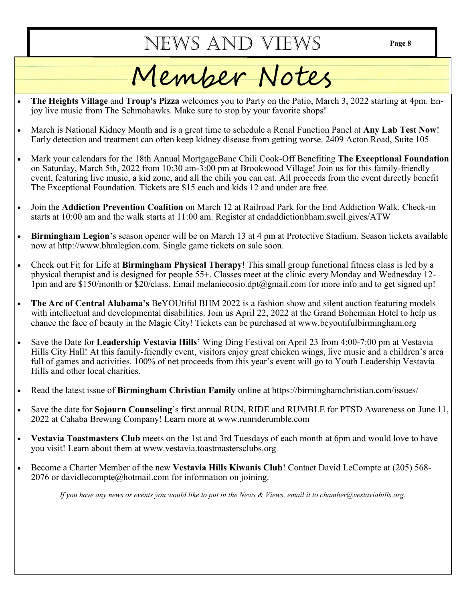## Member Notes

- **The Heights Village** and **Troup's Pizza** welcomes you to Party on the Patio, March 3, 2022 starting at 4pm. Enjoy live music from The Schmohawks. Make sure to stop by your favorite shops!
- March is National Kidney Month and is a great time to schedule a Renal Function Panel at **Any Lab Test Now**! Early detection and treatment can often keep kidney disease from getting worse. 2409 Acton Road, Suite 105
- Mark your calendars for the 18th Annual MortgageBanc Chili Cook-Off Benefiting **The Exceptional Foundation** on Saturday, March 5th, 2022 from 10:30 am-3:00 pm at Brookwood Village! Join us for this family-friendly event, featuring live music, a kid zone, and all the chili you can eat. All proceeds from the event directly benefit The Exceptional Foundation. Tickets are \$15 each and kids 12 and under are free.
- Join the **Addiction Prevention Coalition** on March 12 at Railroad Park for the End Addiction Walk. Check-in starts at 10:00 am and the walk starts at 11:00 am. Register at endaddictionbham.swell.gives/ATW
- **Birmingham Legion**'s season opener will be on March 13 at 4 pm at Protective Stadium. Season tickets available now at http://www.bhmlegion.com. Single game tickets on sale soon.
- Check out Fit for Life at **Birmingham Physical Therapy**! This small group functional fitness class is led by a physical therapist and is designed for people 55+. Classes meet at the clinic every Monday and Wednesday 12- 1pm and are \$150/month or \$20/class. Email melaniecosio.dpt@gmail.com for more info and to get signed up!
- **The Arc of Central Alabama's** BeYOUtiful BHM 2022 is a fashion show and silent auction featuring models with intellectual and developmental disabilities. Join us April 22, 2022 at the Grand Bohemian Hotel to help us chance the face of beauty in the Magic City! Tickets can be purchased at www.beyoutifulbirmingham.org
- Save the Date for **Leadership Vestavia Hills'** Wing Ding Festival on April 23 from 4:00-7:00 pm at Vestavia Hills City Hall! At this family-friendly event, visitors enjoy great chicken wings, live music and a children's area full of games and activities. 100% of net proceeds from this year's event will go to Youth Leadership Vestavia Hills and other local charities.
- Read the latest issue of **Birmingham Christian Family** online at https://birminghamchristian.com/issues/
- Save the date for **Sojourn Counseling**'s first annual RUN, RIDE and RUMBLE for PTSD Awareness on June 11, 2022 at Cahaba Brewing Company! Learn more at www.runriderumble.com
- **Vestavia Toastmasters Club** meets on the 1st and 3rd Tuesdays of each month at 6pm and would love to have you visit! Learn about them at www.vestavia.toastmastersclubs.org
- Become a Charter Member of the new **Vestavia Hills Kiwanis Club**! Contact David LeCompte at (205) 568- 2076 or davidlecompte@hotmail.com for information on joining.

*If you have any news or events you would like to put in the News & Views, email it to chamber@vestaviahills.org.*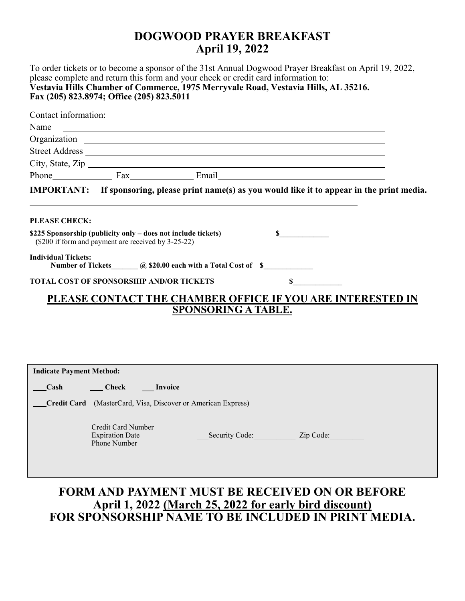#### **DOGWOOD PRAYER BREAKFAST April 19, 2022**

To order tickets or to become a sponsor of the 31st Annual Dogwood Prayer Breakfast on April 19, 2022, please complete and return this form and your check or credit card information to: **Vestavia Hills Chamber of Commerce, 1975 Merryvale Road, Vestavia Hills, AL 35216. Fax (205) 823.8974; Office (205) 823.5011**

| Contact information:                                                                                                 |  |  |                                                                                  |  |  |  |  |
|----------------------------------------------------------------------------------------------------------------------|--|--|----------------------------------------------------------------------------------|--|--|--|--|
|                                                                                                                      |  |  |                                                                                  |  |  |  |  |
|                                                                                                                      |  |  |                                                                                  |  |  |  |  |
|                                                                                                                      |  |  |                                                                                  |  |  |  |  |
|                                                                                                                      |  |  | City, State, Zip                                                                 |  |  |  |  |
|                                                                                                                      |  |  | Phone Fax Fax Email Email                                                        |  |  |  |  |
| IMPORTANT: If sponsoring, please print name(s) as you would like it to appear in the print media.                    |  |  |                                                                                  |  |  |  |  |
| <b>PLEASE CHECK:</b>                                                                                                 |  |  | ,我们也不会有什么。""我们的人,我们也不会有什么?""我们的人,我们也不会有什么?""我们的人,我们也不会有什么?""我们的人,我们也不会有什么?""我们的人 |  |  |  |  |
| \$225 Sponsorship (publicity only – does not include tickets)<br>(\$200 if form and payment are received by 3-25-22) |  |  |                                                                                  |  |  |  |  |
| <b>Individual Tickets:</b><br>Number of Tickets (a) \$20.00 each with a Total Cost of \$                             |  |  |                                                                                  |  |  |  |  |
| <b>TOTAL COST OF SPONSORSHIP AND/OR TICKETS</b>                                                                      |  |  |                                                                                  |  |  |  |  |
| PLEASE CONTACT THE CHAMBER OFFICE IF YOU ARE INTERESTED IN<br><b>SPONSORING A TABLE.</b>                             |  |  |                                                                                  |  |  |  |  |

| <b>Indicate Payment Method:</b>                                        |                                                              |                             |  |  |
|------------------------------------------------------------------------|--------------------------------------------------------------|-----------------------------|--|--|
| Cash                                                                   | <b>Check</b>                                                 | Invoice                     |  |  |
| (MasterCard, Visa, Discover or American Express)<br><b>Credit Card</b> |                                                              |                             |  |  |
|                                                                        | Credit Card Number<br><b>Expiration Date</b><br>Phone Number | Zip Code:<br>Security Code: |  |  |

#### **FORM AND PAYMENT MUST BE RECEIVED ON OR BEFORE April 1, 2022 (March 25, 2022 for early bird discount) FOR SPONSORSHIP NAME TO BE INCLUDED IN PRINT MEDIA.**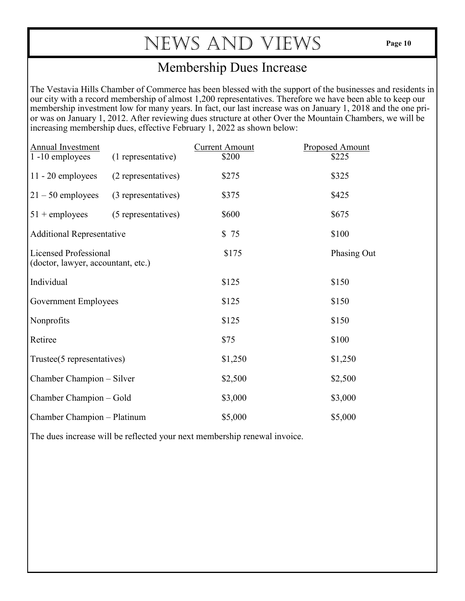#### Membership Dues Increase

The Vestavia Hills Chamber of Commerce has been blessed with the support of the businesses and residents in our city with a record membership of almost 1,200 representatives. Therefore we have been able to keep our membership investment low for many years. In fact, our last increase was on January 1, 2018 and the one prior was on January 1, 2012. After reviewing dues structure at other Over the Mountain Chambers, we will be increasing membership dues, effective February 1, 2022 as shown below:

| <b>Annual Investment</b><br>1-10 employees                         | (1 representative)  | <b>Current Amount</b><br>\$200 | <b>Proposed Amount</b><br>\$225 |
|--------------------------------------------------------------------|---------------------|--------------------------------|---------------------------------|
| $11 - 20$ employees                                                | (2 representatives) | \$275                          | \$325                           |
| $21 - 50$ employees                                                | (3 representatives) | \$375                          | \$425                           |
| $51 +$ employees                                                   | (5 representatives) | \$600                          | \$675                           |
| <b>Additional Representative</b>                                   |                     | \$75                           | \$100                           |
| <b>Licensed Professional</b><br>(doctor, lawyer, accountant, etc.) |                     | \$175                          | Phasing Out                     |
| Individual                                                         |                     | \$125                          | \$150                           |
| <b>Government Employees</b>                                        |                     | \$125                          | \$150                           |
| Nonprofits                                                         |                     | \$125                          | \$150                           |
| Retiree                                                            |                     | \$75                           | \$100                           |
| Trustee(5 representatives)                                         |                     | \$1,250                        | \$1,250                         |
| Chamber Champion – Silver                                          |                     | \$2,500                        | \$2,500                         |
| Chamber Champion - Gold                                            |                     | \$3,000                        | \$3,000                         |
| Chamber Champion - Platinum                                        |                     | \$5,000                        | \$5,000                         |

The dues increase will be reflected your next membership renewal invoice.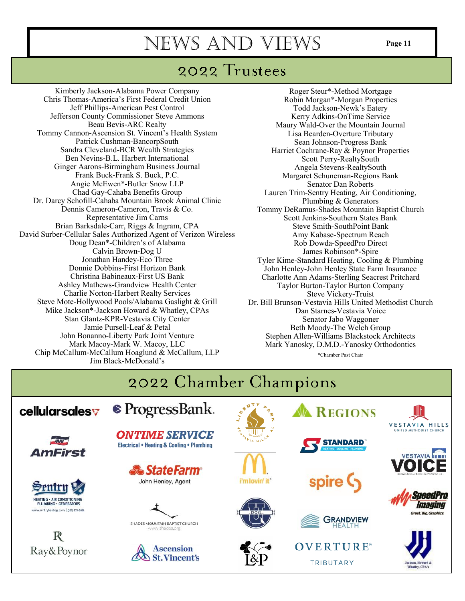### 2022 Trustees

Kimberly Jackson-Alabama Power Company Chris Thomas-America's First Federal Credit Union Jeff Phillips-American Pest Control Jefferson County Commissioner Steve Ammons Beau Bevis-ARC Realty Tommy Cannon-Ascension St. Vincent's Health System Patrick Cushman-BancorpSouth Sandra Cleveland-BCR Wealth Strategies Ben Nevins-B.L. Harbert International Ginger Aarons-Birmingham Business Journal Frank Buck-Frank S. Buck, P.C. Angie McEwen\*-Butler Snow LLP Chad Gay-Cahaba Benefits Group Dr. Darcy Schofill-Cahaba Mountain Brook Animal Clinic Dennis Cameron-Cameron, Travis & Co. Representative Jim Carns Brian Barksdale-Carr, Riggs & Ingram, CPA David Surber-Cellular Sales Authorized Agent of Verizon Wireless Doug Dean\*-Children's of Alabama Calvin Brown-Dog U Jonathan Handey-Eco Three Donnie Dobbins-First Horizon Bank Christina Babineaux-First US Bank Ashley Mathews-Grandview Health Center Charlie Norton-Harbert Realty Services Steve Mote-Hollywood Pools/Alabama Gaslight & Grill Mike Jackson\*-Jackson Howard & Whatley, CPAs Stan Glantz-KPR-Vestavia City Center Jamie Pursell-Leaf & Petal John Bonanno-Liberty Park Joint Venture Mark Macoy-Mark W. Macoy, LLC Chip McCallum-McCallum Hoaglund & McCallum, LLP Jim Black-McDonald's

Roger Steur\*-Method Mortgage Robin Morgan\*-Morgan Properties Todd Jackson-Newk's Eatery Kerry Adkins-OnTime Service Maury Wald-Over the Mountain Journal Lisa Bearden-Overture Tributary Sean Johnson-Progress Bank Harriet Cochrane-Ray & Poynor Properties Scott Perry-RealtySouth Angela Stevens-RealtySouth Margaret Schuneman-Regions Bank Senator Dan Roberts Lauren Trim-Sentry Heating, Air Conditioning, Plumbing & Generators Tommy DeRamus-Shades Mountain Baptist Church Scott Jenkins-Southern States Bank Steve Smith-SouthPoint Bank Amy Kabase-Spectrum Reach Rob Dowda-SpeedPro Direct James Robinson\*-Spire Tyler Kime-Standard Heating, Cooling & Plumbing John Henley-John Henley State Farm Insurance Charlotte Ann Adams-Sterling Seacrest Pritchard Taylor Burton-Taylor Burton Company Steve Vickery-Truist Dr. Bill Brunson-Vestavia Hills United Methodist Church Dan Starnes-Vestavia Voice Senator Jabo Waggoner Beth Moody-The Welch Group Stephen Allen-Williams Blackstock Architects Mark Yanosky, D.M.D.-Yanosky Orthodontics \*Chamber Past Chair

#### 2022 Chamber Champions *●* ProgressBank. cellularsales **REGIONS** VESTAVIA HILLS **UNITED METHODIST CHURC ONTIME SERVICE STANDARD Electrical . Heating & Cooling . Plumbing** AmFirst **VESTAVIA & State Farm** i'm lovin' it John Henley, Agent entri meedPri **HEATING - AIR CONDITIONING** *Imaging* PLUMBING · GENERATORS w.sentryheating.com | (205) 979-9864 eat. Big. Graphics **GRANDVIEW** SHADES MOUNTAIN BAPTIST CHURCH  $\mathbb R$ **OVERTURE**® **Ascension** Ray&Poynor **St. Vincent's** TRIBUTARY